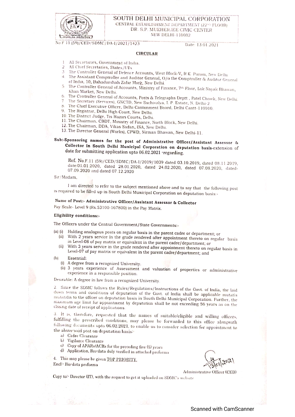

SOUTH DELHI MUNICIPAL CORPORATION CENTRAL ESTABLISHMENT DEPARTMENT (22<sup>x0</sup> FLOOR) DR. S.P. MUKHERJEE CIVIC CENTER NEW DELHI-110002

No.F.11 (59)/CED/SDMC/DA-1/2021/1423

#### Date: 13.01.2021

### **CIRCULAR**

- All Secretaries, Government of India.  $\mathbf{1}$
- All Chief Secretaries, States/UTs.  $\overline{2}$
- 3 The Controller General of Defence Accounts, West Block-V, R.K. Puram, New Delhi.
- 4. The Assistant Comptroller and Auditor General, O/o the Comptroller & Auditor General of India, 10, Bahadurshah Zafar Marg, New Delhi.
- The Controller General of Accounts, Ministry of Finance, 7th Floor, Lok Nayak Bhawan, Khan Market, New Delhi.
- 6. The Controller General of Accounts, Posts & Telegraphs Deptt., Patel Chowk, New Delhi.
- The Secretary (Services), GNCTD, New Sachivalya, I. P. Estate, N. Delhi-2.
- The Chief Executive Officer, Delhi Cantonment Board, Delhi Cantt-110010.
- 9. The Registrar, Delhi High Court, New Delhi.
- 10. The District Judge, Tis Hazari Courts, Delhi.
- 11. The Chairman, CBDT, Ministry of Finance, North Block, New Delhi.
- 12. The Chairman, DDA, Vikas Sadan, INA, New Delhi.
- 13. The Director General (Works), CPWD, Nirman Bhawan, New Delhi-11.

## Sub:-Sponsoring names for the post of Administrative Officer/Assistant Assessor & Collector in South Delhi Municipal Corporation on deputation basis-extension of date for submitting application upto 06.02.2021 regarding.

Ref. No.F.11 (59)/CED/SDMC/DA-I/2019/1039 dated 03.10.2019, dated 08.11.2019, date:01.01.2020, dated 28.01.2020, dated 24.02.2020, dated 07.08.2020, dated-07.09.2020 and dated 07.12.2020

Sir/Madam.

I am directed to refer to the subject mentioned above and to say that the following post is required to be filled up in South Delhi Municipal Corporation on deputation basis:-

# Name of Post:- Administrative Officer/Assistant Assessor & Collector

Pay Scale- Level 9 (Rs.53100-167800) in the Pay Matrix.

### Eligibility conditions:-

The Officers under the Central Government/State Governments:-

- (a) (i) Holding analogous posts on regular basis in the parent cadre or department; or (ii) With 2 years service in the grade rendered after appointment thereto on regular basis
	- in Level-08 of pay matrix or equivalent in the parent cadre/department; or (ii) With 3 years service in the grade rendered after appointment thereto on regular basis in
	- Level-07 of pay matrix or equivalent in the parent cadre/department; and
- $(b)$ Essential:
	- (i) A degree from a recognized University.
	- (ii) 3 years experience of Assessment and valuation of properties or administrative experience in a responsible position.

Desirable: A degree in law from a recognized University.

2. Since the SDMC follows the Rules/Regulations/Instructions of the Govt. of India, the laid down terms and conditions of deputation of the Govt. of India shall be applicable mutatis mutandis to the officer on deputation basis in South Delhi Municipal Corporation. Further, the maximum age limit for appointment by deputation shall be not exceeding 56 years as on the closing date of receipt of applications.

3. It is, therefore, requested that the names of suitable/eligible and willing officers, fulfilling the prescribed conditions, may please be forwarded to this office alongwith following documents upto 06.02.2021, to enable us to consider selection for appointment to the above said post on deputation basis:

- a) Cadre Clearance
- b) Vigilance Clearance
- c) Copy of APARs/ACRs for the preceding five (5) years
- d) Application, Bio-data duly verified in attached proforma

4. This may please be given TOP PRIORITY.

Encl<sup>:</sup> Bio data proforma

Administrative Officer (CED)

Copy to: Director (IT), with the request to get it uploaded on SDMC's website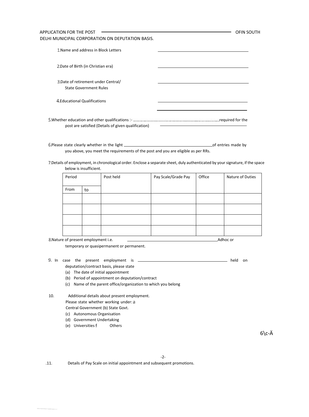| APPLICATION FOR THE POST<br>DELHI MUNICIPAL CORPORATION ON DEPUTATION BASIS. | OFIN SOUTH |
|------------------------------------------------------------------------------|------------|
| 1. Name and address in Block Letters                                         |            |
| 2. Date of Birth (in Christian era)                                          |            |
| 3. Date of retirement under Central/<br><b>State Government Rules</b>        |            |
| 4. Educational Qualifications                                                |            |
| post are satisfied (Details of given qualification)                          |            |

6.Please state clearly whether in the light  $\Box$  and the entries made by  $\Box$  of entries made by you above, you meet the requirements of the post and you are eligible as per RRs.

Details of employment, in chronological order. Enclose a separate sheet, duly authenticated by your signature, if the space below is insufficient.

| Period |    | Post held | Pay Scale/Grade Pay | Office | Nature of Duties |
|--------|----|-----------|---------------------|--------|------------------|
| From   | to |           |                     |        |                  |
|        |    |           |                     |        |                  |
|        |    |           |                     |        |                  |
|        |    |           |                     |        |                  |
|        |    |           |                     |        |                  |

Nature of present employment i.e. Adhoc or

temporary or quasipermanent or permanent.

- In case the present employment is held on
	- deputation/contract basis, please state
	- (a) The date of initial appointment
	- (b) Period of appointment on deputation/contract
	- (c) Name of the parent office/organization to which you belong
- 10. Additional details about present employment.
	- Please state whether working under: a

Central Government (b) State Govt.

- (c) Autonomous Organisation
- (d) Government Undertaking
- (e) Universities Others

 $6\c{-}A$ 

.11. Details of Pay Scale on initial appointment and subsequent promotions.